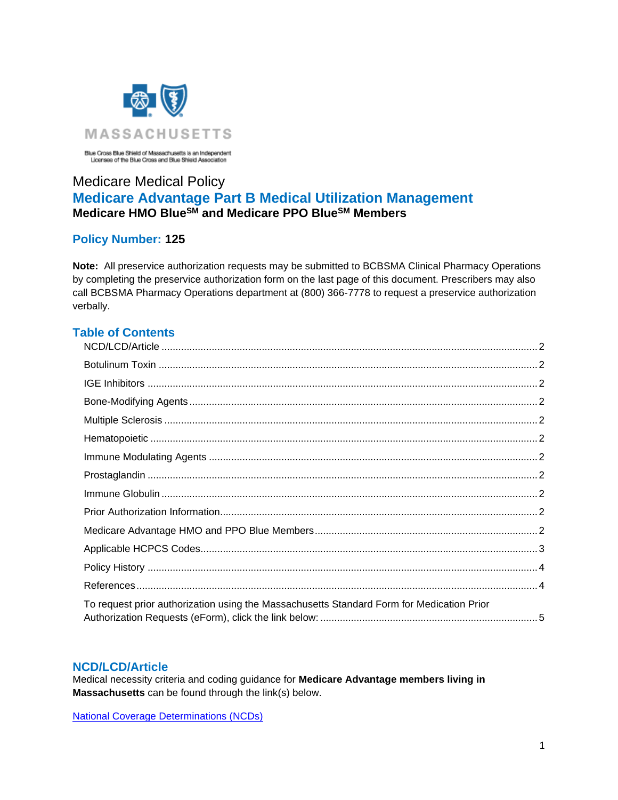

Blue Cross Blue Shield of Massachusetts is an Independent<br>Licenses of the Blue Cross and Blue Shield Association

# Medicare Medical Policy **Medicare Advantage Part B Medical Utilization Management Medicare HMO BlueSM and Medicare PPO BlueSM Members**

## **Policy Number: 125**

**Note:** All preservice authorization requests may be submitted to BCBSMA Clinical Pharmacy Operations by completing the preservice authorization form on the last page of this document. Prescribers may also call BCBSMA Pharmacy Operations department at (800) 366-7778 to request a preservice authorization verbally.

## **Table of Contents**

| To request prior authorization using the Massachusetts Standard Form for Medication Prior |  |
|-------------------------------------------------------------------------------------------|--|

#### <span id="page-0-0"></span>**NCD/LCD/Article**

Medical necessity criteria and coding guidance for **Medicare Advantage members living in Massachusetts** can be found through the link(s) below.

[National Coverage Determinations \(NCDs\)](https://www.cms.gov/medicare-coverage-database/indexes/ncd-alphabetical-index.aspx?bc=AgAAAAAAAAAA&)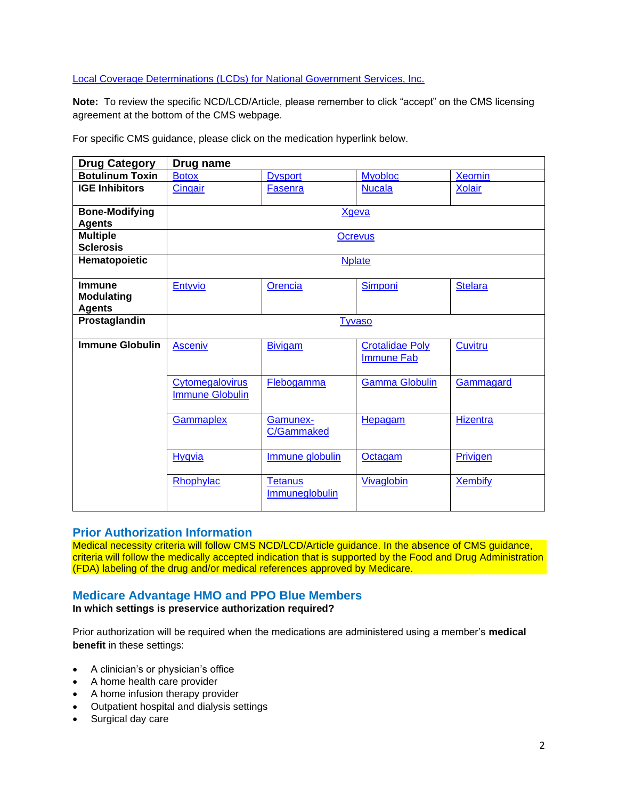#### [Local Coverage Determinations \(LCDs\) for National Government Services, Inc.](https://www.cms.gov/medicare-coverage-database/indexes/lcd-list.aspx?Cntrctr=304&ContrVer=1&CntrctrSelected=304*1&s=24&DocType=1&bc=AAgAAAAAAAAA&#aFinal)

**Note:** To review the specific NCD/LCD/Article, please remember to click "accept" on the CMS licensing agreement at the bottom of the CMS webpage.

<span id="page-1-4"></span><span id="page-1-3"></span><span id="page-1-2"></span><span id="page-1-1"></span><span id="page-1-0"></span>

| <b>Drug Category</b>                                | Drug name                                 |                                  |                                             |                 |
|-----------------------------------------------------|-------------------------------------------|----------------------------------|---------------------------------------------|-----------------|
| <b>Botulinum Toxin</b>                              | <b>Botox</b>                              | <b>Dysport</b>                   | <b>Myobloc</b>                              | <b>Xeomin</b>   |
| <b>IGE Inhibitors</b>                               | Cingair                                   | <b>Fasenra</b>                   | <b>Nucala</b>                               | <b>Xolair</b>   |
| <b>Bone-Modifying</b>                               | <b>Xgeva</b>                              |                                  |                                             |                 |
| <b>Agents</b>                                       |                                           |                                  |                                             |                 |
| <b>Multiple</b><br><b>Sclerosis</b>                 | <b>Ocrevus</b>                            |                                  |                                             |                 |
| Hematopoietic                                       |                                           |                                  | <b>Nplate</b>                               |                 |
| <b>Immune</b><br><b>Modulating</b><br><b>Agents</b> | Entyvio                                   | Orencia                          | <b>Simponi</b>                              | <b>Stelara</b>  |
| <b>Prostaglandin</b>                                | <b>Tyvaso</b>                             |                                  |                                             |                 |
| <b>Immune Globulin</b>                              | <b>Asceniv</b>                            | <b>Bivigam</b>                   | <b>Crotalidae Poly</b><br><b>Immune Fab</b> | Cuvitru         |
|                                                     | Cytomegalovirus<br><b>Immune Globulin</b> | Flebogamma                       | <b>Gamma Globulin</b>                       | Gammagard       |
|                                                     | Gammaplex                                 | Gamunex-<br>C/Gammaked           | Hepagam                                     | <b>Hizentra</b> |
|                                                     | Hyqvia                                    | Immune globulin                  | Octagam                                     | Privigen        |
|                                                     | Rhophylac                                 | <b>Tetanus</b><br>Immuneglobulin | Vivaglobin                                  | <b>Xembify</b>  |

For specific CMS guidance, please click on the medication hyperlink below.

### **Prior Authorization Information**

Medical necessity criteria will follow CMS NCD/LCD/Article guidance. In the absence of CMS guidance, criteria will follow the medically accepted indication that is supported by the Food and Drug Administration (FDA) labeling of the drug and/or medical references approved by Medicare.

## <span id="page-1-5"></span>**Medicare Advantage HMO and PPO Blue Members**

**In which settings is preservice authorization required?**

Prior authorization will be required when the medications are administered using a member's **medical benefit** in these settings:

- A clinician's or physician's office
- A home health care provider
- A home infusion therapy provider
- Outpatient hospital and dialysis settings
- Surgical day care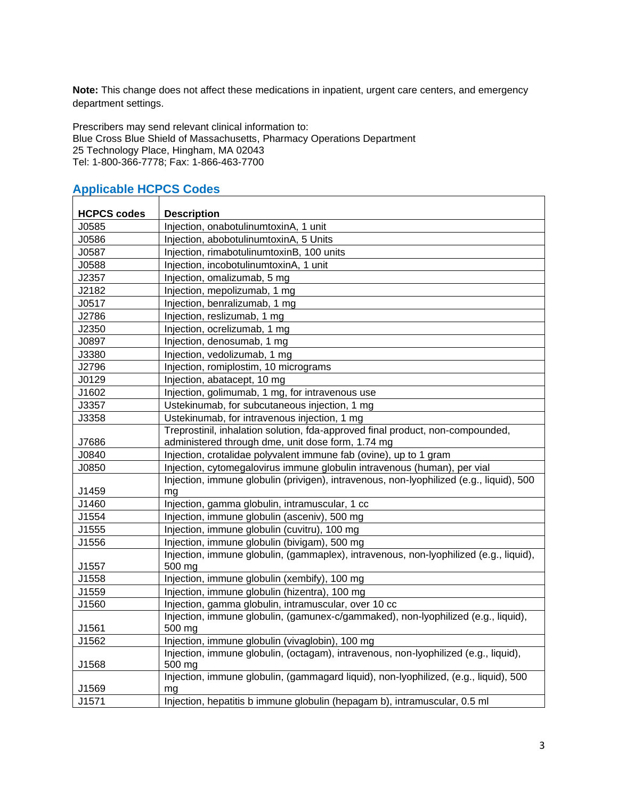**Note:** This change does not affect these medications in inpatient, urgent care centers, and emergency department settings.

Prescribers may send relevant clinical information to: Blue Cross Blue Shield of Massachusetts, Pharmacy Operations Department 25 Technology Place, Hingham, MA 02043 Tel: 1-800-366-7778; Fax: 1-866-463-7700

#### **HCPCS codes Description** J0585 Injection, onabotulinumtoxinA, 1 unit J0586 Injection, abobotulinumtoxinA, 5 Units J0587 Injection, rimabotulinumtoxinB, 100 units J0588 Injection, incobotulinumtoxinA, 1 unit J2357 Injection, omalizumab, 5 mg J2182 Injection, mepolizumab, 1 mg J0517 Injection, benralizumab, 1 mg J2786 | Injection, reslizumab, 1 mg J2350 | Injection, ocrelizumab, 1 mg J0897 | Injection, denosumab, 1 mg J3380 | Injection, vedolizumab, 1 mg J2796 | Injection, romiplostim, 10 micrograms J0129 Injection, abatacept, 10 mg J1602 | Injection, golimumab, 1 mg, for intravenous use J3357 Ustekinumab, for subcutaneous injection, 1 mg J3358 Ustekinumab, for intravenous injection, 1 mg J7686 Treprostinil, inhalation solution, fda-approved final product, non-compounded, administered through dme, unit dose form, 1.74 mg J0840 Injection, crotalidae polyvalent immune fab (ovine), up to 1 gram J0850 Injection, cytomegalovirus immune globulin intravenous (human), per vial J1459 Injection, immune globulin (privigen), intravenous, non-lyophilized (e.g., liquid), 500 mg J1460 | Injection, gamma globulin, intramuscular, 1 cc J1554 Injection, immune globulin (asceniv), 500 mg J1555 | Injection, immune globulin (cuvitru), 100 mg J1556 Injection, immune globulin (bivigam), 500 mg J1557 Injection, immune globulin, (gammaplex), intravenous, non-lyophilized (e.g., liquid), 500 mg J1558 Injection, immune globulin (xembify), 100 mg J1559 Injection, immune globulin (hizentra), 100 mg J1560 | Injection, gamma globulin, intramuscular, over 10 cc J1561 Injection, immune globulin, (gamunex-c/gammaked), non-lyophilized (e.g., liquid), 500 mg J1562 Injection, immune globulin (vivaglobin), 100 mg J1568 Injection, immune globulin, (octagam), intravenous, non-lyophilized (e.g., liquid), 500 mg J1569 Injection, immune globulin, (gammagard liquid), non-lyophilized, (e.g., liquid), 500 mg

J1571 Injection, hepatitis b immune globulin (hepagam b), intramuscular, 0.5 ml

## <span id="page-2-0"></span>**Applicable HCPCS Codes**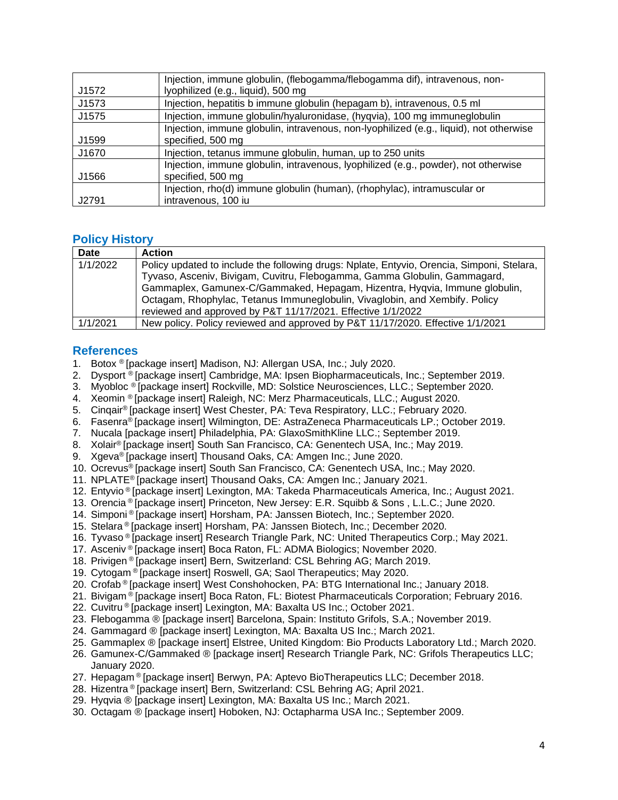|       | Injection, immune globulin, (flebogamma/flebogamma dif), intravenous, non-             |  |  |
|-------|----------------------------------------------------------------------------------------|--|--|
| J1572 | lyophilized (e.g., liquid), 500 mg                                                     |  |  |
| J1573 | Injection, hepatitis b immune globulin (hepagam b), intravenous, 0.5 ml                |  |  |
| J1575 | Injection, immune globulin/hyaluronidase, (hyqvia), 100 mg immuneglobulin              |  |  |
|       | Injection, immune globulin, intravenous, non-lyophilized (e.g., liquid), not otherwise |  |  |
| J1599 | specified, 500 mg                                                                      |  |  |
| J1670 | Injection, tetanus immune globulin, human, up to 250 units                             |  |  |
|       | Injection, immune globulin, intravenous, lyophilized (e.g., powder), not otherwise     |  |  |
| J1566 | specified, 500 mg                                                                      |  |  |
|       | Injection, rho(d) immune globulin (human), (rhophylac), intramuscular or               |  |  |
| J2791 | intravenous, 100 iu                                                                    |  |  |

#### <span id="page-3-0"></span>**Policy History**

| Date     | <b>Action</b>                                                                              |  |  |
|----------|--------------------------------------------------------------------------------------------|--|--|
| 1/1/2022 | Policy updated to include the following drugs: Nplate, Entyvio, Orencia, Simponi, Stelara, |  |  |
|          | Tyvaso, Asceniv, Bivigam, Cuvitru, Flebogamma, Gamma Globulin, Gammagard,                  |  |  |
|          | Gammaplex, Gamunex-C/Gammaked, Hepagam, Hizentra, Hygvia, Immune globulin,                 |  |  |
|          | Octagam, Rhophylac, Tetanus Immuneglobulin, Vivaglobin, and Xembify. Policy                |  |  |
|          | reviewed and approved by P&T 11/17/2021. Effective 1/1/2022                                |  |  |
| 1/1/2021 | New policy. Policy reviewed and approved by P&T 11/17/2020. Effective 1/1/2021             |  |  |

#### <span id="page-3-1"></span>**References**

- 1. Botox ® [package insert] Madison, NJ: Allergan USA, Inc.; July 2020.
- 2. Dysport ® [package insert] Cambridge, MA: Ipsen Biopharmaceuticals, Inc.; September 2019.
- 3. Myobloc ® [package insert] Rockville, MD: Solstice Neurosciences, LLC.; September 2020.
- 4. Xeomin ® [package insert] Raleigh, NC: Merz Pharmaceuticals, LLC.; August 2020.
- 5. Cinqair® [package insert] West Chester, PA: Teva Respiratory, LLC.; February 2020.
- 6. Fasenra® [package insert] Wilmington, DE: AstraZeneca Pharmaceuticals LP.; October 2019.
- 7. Nucala [package insert] Philadelphia, PA: GlaxoSmithKline LLC.; September 2019.
- 8. Xolair® [package insert] South San Francisco, CA: Genentech USA, Inc.; May 2019.
- 9. Xgeva® [package insert] Thousand Oaks, CA: Amgen Inc.; June 2020.
- 10. Ocrevus® [package insert] South San Francisco, CA: Genentech USA, Inc.; May 2020.
- 11. NPLATE® [package insert] Thousand Oaks, CA: Amgen Inc.; January 2021.
- 12. Entyvio ® [package insert] Lexington, MA: Takeda Pharmaceuticals America, Inc.; August 2021.
- 13. Orencia ® [package insert] Princeton, New Jersey: E.R. Squibb & Sons , L.L.C.; June 2020.
- 14. Simponi ® [package insert] Horsham, PA: Janssen Biotech, Inc.; September 2020.
- 15. Stelara ® [package insert] Horsham, PA: Janssen Biotech, Inc.; December 2020.
- 16. Tyvaso ® [package insert] Research Triangle Park, NC: United Therapeutics Corp.; May 2021.
- 17. Asceniv ® [package insert] Boca Raton, FL: ADMA Biologics; November 2020.
- 18. Privigen ® [package insert] Bern, Switzerland: CSL Behring AG; March 2019.
- 19. Cytogam ® [package insert] Roswell, GA; Saol Therapeutics; May 2020.
- 20. Crofab ® [package insert] West Conshohocken, PA: BTG International Inc.; January 2018.
- 21. Bivigam ® [package insert] Boca Raton, FL: Biotest Pharmaceuticals Corporation; February 2016.
- 22. Cuvitru ® [package insert] Lexington, MA: Baxalta US Inc.; October 2021.
- 23. Flebogamma ® [package insert] Barcelona, Spain: Instituto Grifols, S.A.; November 2019.
- 24. Gammagard ® [package insert] Lexington, MA: Baxalta US Inc.; March 2021.
- 25. Gammaplex ® [package insert] Elstree, United Kingdom: Bio Products Laboratory Ltd.; March 2020.
- 26. Gamunex-C/Gammaked ® [package insert] Research Triangle Park, NC: Grifols Therapeutics LLC; January 2020.
- 27. Hepagam ® [package insert] Berwyn, PA: Aptevo BioTherapeutics LLC; December 2018.
- 28. Hizentra ® [package insert] Bern, Switzerland: CSL Behring AG; April 2021.
- 29. Hyqvia ® [package insert] Lexington, MA: Baxalta US Inc.; March 2021.
- 30. Octagam ® [package insert] Hoboken, NJ: Octapharma USA Inc.; September 2009.